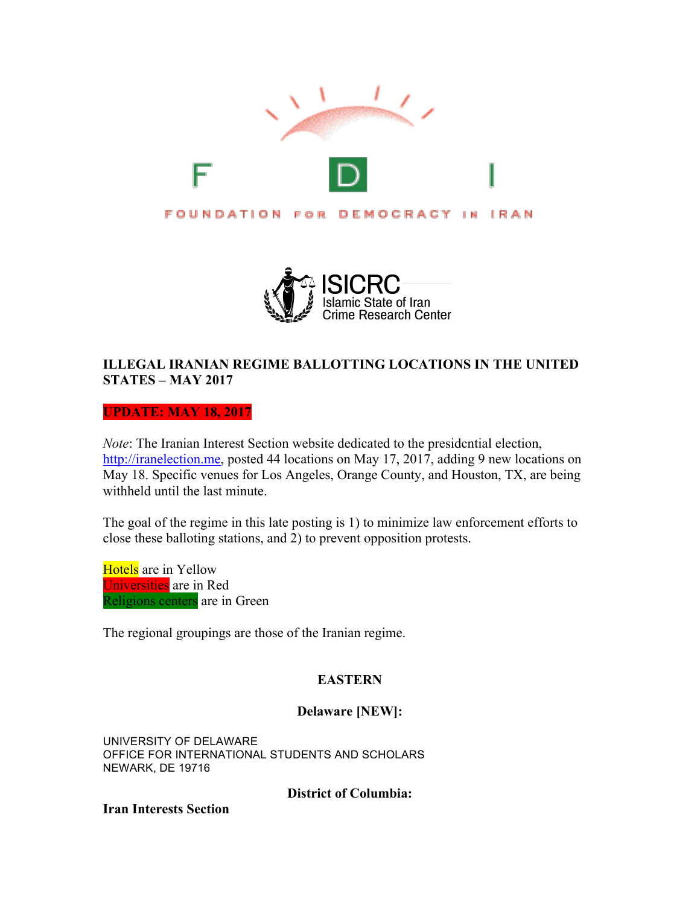



# **ILLEGAL IRANIAN REGIME BALLOTTING LOCATIONS IN THE UNITED STATES – MAY 2017**

**UPDATE: MAY 18, 2017**

*Note*: The Iranian Interest Section website dedicated to the presidcntial election, http://iranelection.me, posted 44 locations on May 17, 2017, adding 9 new locations on May 18. Specific venues for Los Angeles, Orange County, and Houston, TX, are being withheld until the last minute.

The goal of the regime in this late posting is 1) to minimize law enforcement efforts to close these balloting stations, and 2) to prevent opposition protests.

Hotels are in Yellow Universities are in Red Religions centers are in Green

The regional groupings are those of the Iranian regime.

# **EASTERN**

# **Delaware [NEW]:**

UNIVERSITY OF DELAWARE OFFICE FOR INTERNATIONAL STUDENTS AND SCHOLARS NEWARK, DE 19716

**District of Columbia:**

**Iran Interests Section**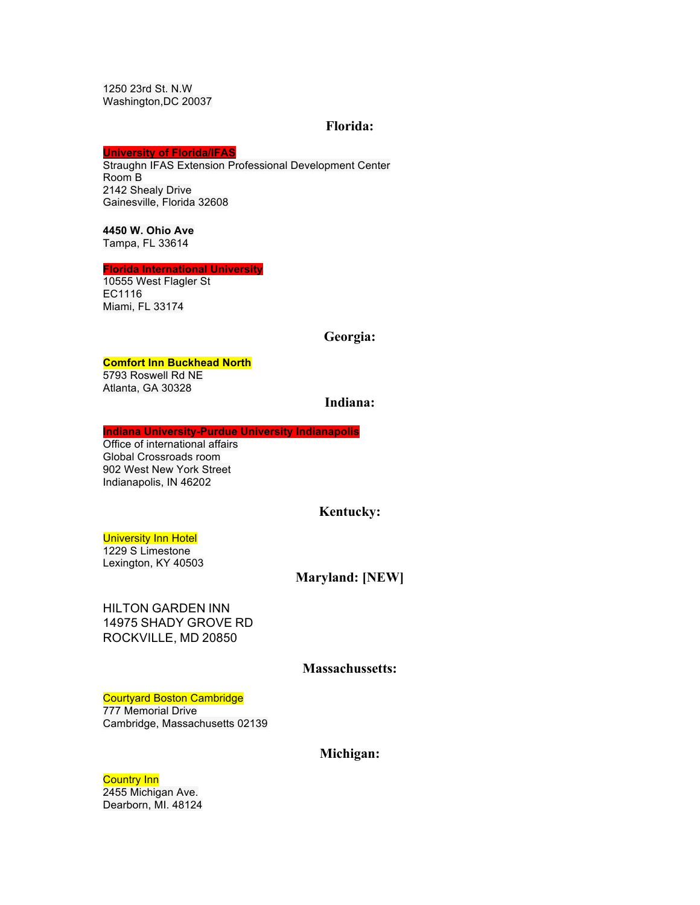1250 23rd St. N.W Washington,DC 20037

#### **Florida:**

#### **University of Florida/IFAS**

Straughn IFAS Extension Professional Development Center Room B 2142 Shealy Drive Gainesville, Florida 32608

#### **4450 W. Ohio Ave**  Tampa, FL 33614

#### **Florida International University**

10555 West Flagler St EC1116 Miami, FL 33174

#### **Georgia:**

#### **Comfort Inn Buckhead North**

5793 Roswell Rd NE Atlanta, GA 30328

# **Indiana:**

#### **Indiana University-Purdue University Indianapolis**

Office of international affairs Global Crossroads room 902 West New York Street Indianapolis, IN 46202

# **Kentucky:**

#### **University Inn Hotel**

1229 S Limestone Lexington, KY 40503

## **Maryland: [NEW]**

HILTON GARDEN INN 14975 SHADY GROVE RD ROCKVILLE, MD 20850

## **Massachussetts:**

#### Courtyard Boston Cambridge

777 Memorial Drive Cambridge, Massachusetts 02139

## **Michigan:**

# **Country Inn**

2455 Michigan Ave. Dearborn, MI. 48124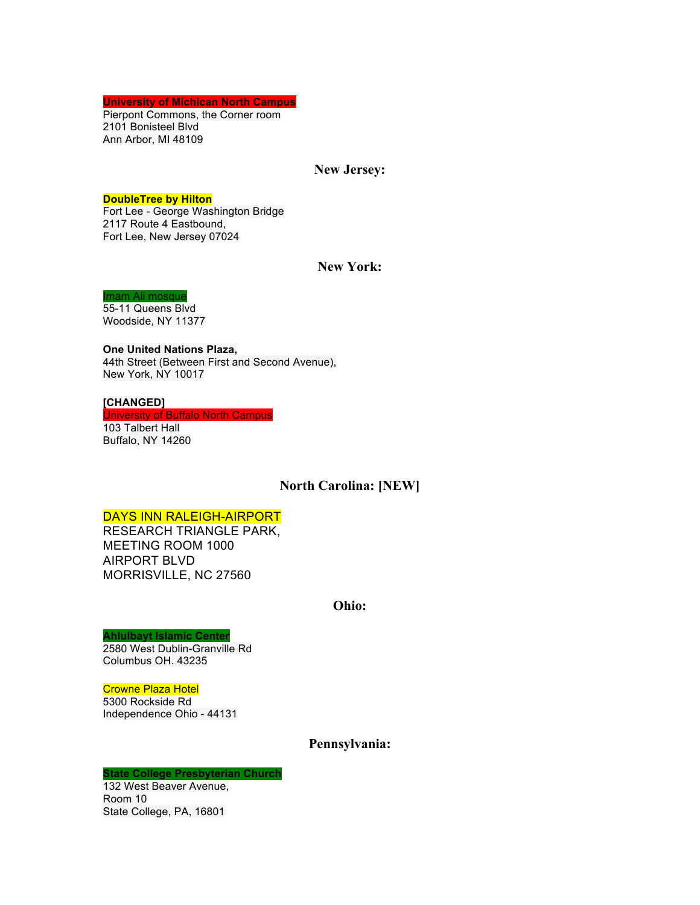**University of Michican North Campus**

Pierpont Commons, the Corner room 2101 Bonisteel Blvd Ann Arbor, MI 48109

### **New Jersey:**

#### **DoubleTree by Hilton**

Fort Lee - George Washington Bridge 2117 Route 4 Eastbound, Fort Lee, New Jersey 07024

## **New York:**

#### Imam Ali mosque

55-11 Queens Blvd Woodside, NY 11377

**One United Nations Plaza,** 44th Street (Between First and Second Avenue), New York, NY 10017

#### **[CHANGED]**

University of Buffalo North Campus 103 Talbert Hall Buffalo, NY 14260

## **North Carolina: [NEW]**

## DAYS INN RALEIGH-AIRPORT

RESEARCH TRIANGLE PARK, MEETING ROOM 1000 AIRPORT BLVD MORRISVILLE, NC 27560

#### **Ohio:**

#### **Ahlulbayt Islamic Center**

2580 West Dublin-Granville Rd Columbus OH. 43235

#### Crowne Plaza Hotel

5300 Rockside Rd Independence Ohio - 44131

# **Pennsylvania:**

#### **State College Presbyterian Church**

132 West Beaver Avenue, Room 10 State College, PA, 16801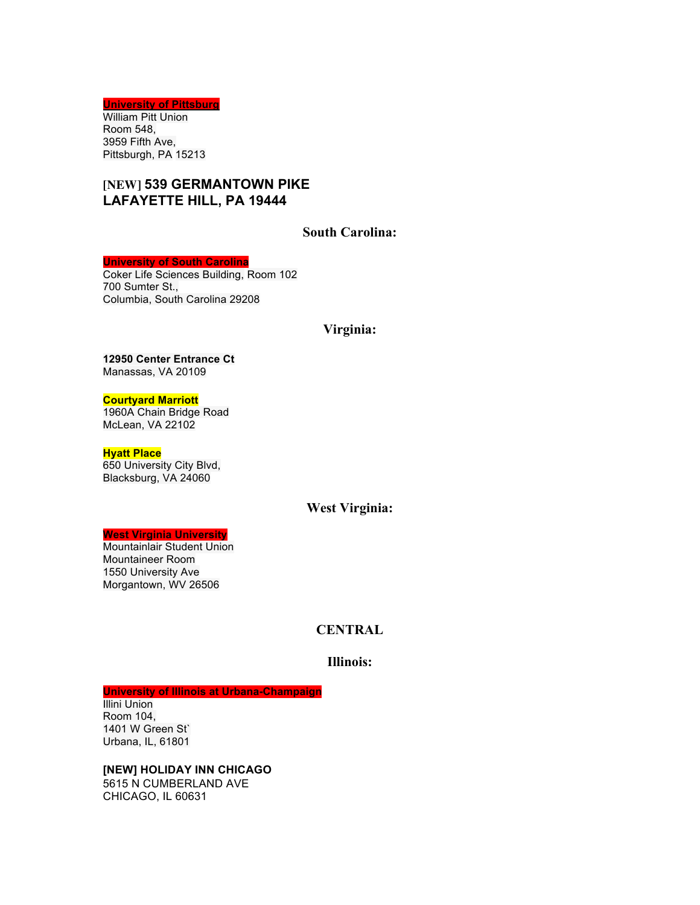**University of Pittsburg** William Pitt Union Room 548, 3959 Fifth Ave, Pittsburgh, PA 15213

# **[NEW] 539 GERMANTOWN PIKE LAFAYETTE HILL, PA 19444**

# **South Carolina:**

#### **University of South Carolina**

Coker Life Sciences Building, Room 102 700 Sumter St., Columbia, South Carolina 29208

#### **Virginia:**

# **12950 Center Entrance Ct**

Manassas, VA 20109

#### **Courtyard Marriott**

1960A Chain Bridge Road McLean, VA 22102

#### **Hyatt Place**

650 University City Blvd, Blacksburg, VA 24060

## **West Virginia:**

#### **West Virginia University**

Mountainlair Student Union Mountaineer Room 1550 University Ave Morgantown, WV 26506

# **CENTRAL**

## **Illinois:**

**University of Illinois at Urbana-Champaign**

Illini Union Room 104, 1401 W Green St` Urbana, IL, 61801

**[NEW] HOLIDAY INN CHICAGO** 5615 N CUMBERLAND AVE CHICAGO, IL 60631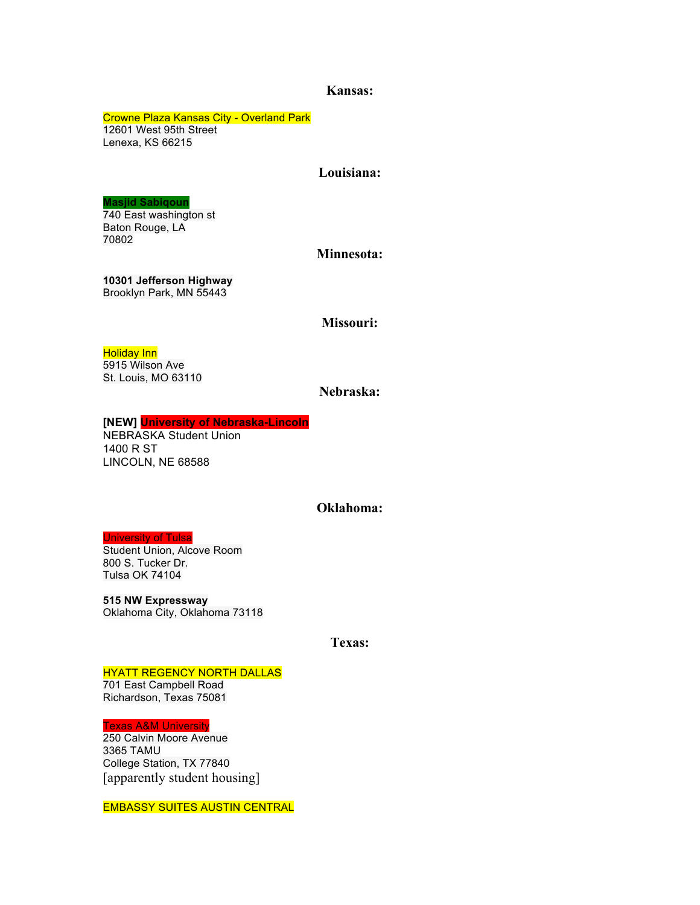## **Kansas:**

Crowne Plaza Kansas City - Overland Park 12601 West 95th Street Lenexa, KS 66215

## **Louisiana:**

## **Masjid Sabiqoun**

740 East washington st Baton Rouge, LA 70802

#### **Minnesota:**

**10301 Jefferson Highway** Brooklyn Park, MN 55443

## **Missouri:**

#### **Holiday Inn**

5915 Wilson Ave St. Louis, MO 63110

# **Nebraska:**

# **[NEW] University of Nebraska-Lincoln**

NEBRASKA Student Union 1400 R ST LINCOLN, NE 68588

#### **Oklahoma:**

#### University of Tulsa

Student Union, Alcove Room 800 S. Tucker Dr. Tulsa OK 74104

**515 NW Expressway** Oklahoma City, Oklahoma 73118

**Texas:**

## HYATT REGENCY NORTH DALLAS

701 East Campbell Road Richardson, Texas 75081

Texas A&M University

250 Calvin Moore Avenue 3365 TAMU College Station, TX 77840 [apparently student housing]

EMBASSY SUITES AUSTIN CENTRAL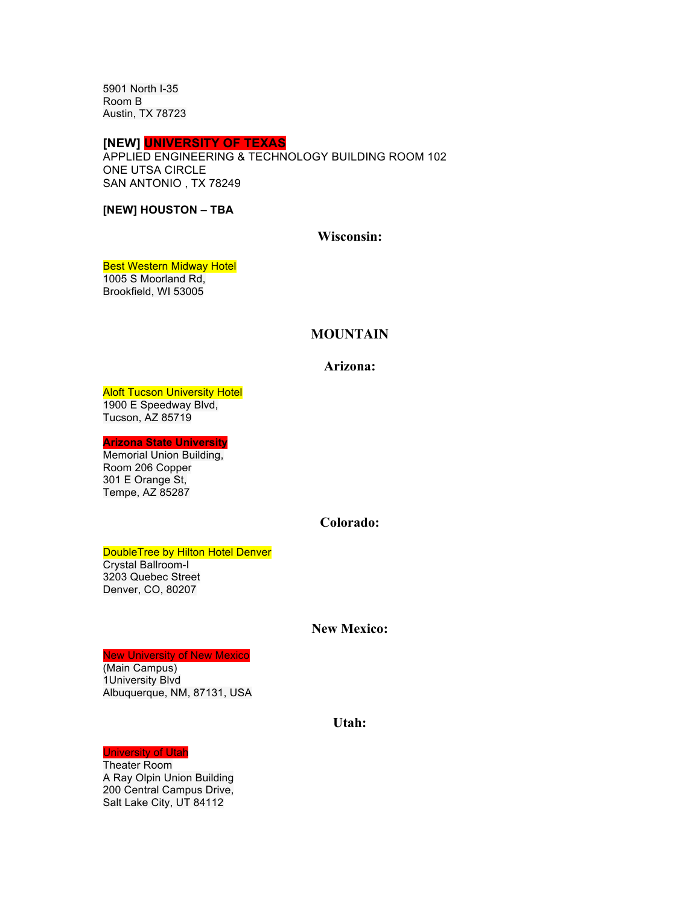5901 North I-35 Room B Austin, TX 78723

#### **[NEW] UNIVERSITY OF TEXAS**

APPLIED ENGINEERING & TECHNOLOGY BUILDING ROOM 102 ONE UTSA CIRCLE SAN ANTONIO , TX 78249

**[NEW] HOUSTON – TBA**

## **Wisconsin:**

**Best Western Midway Hotel** 1005 S Moorland Rd,

Brookfield, WI 53005

# **MOUNTAIN**

## **Arizona:**

**Aloft Tucson University Hotel** 1900 E Speedway Blvd, Tucson, AZ 85719

**Arizona State University**

Memorial Union Building, Room 206 Copper 301 E Orange St, Tempe, AZ 85287

## **Colorado:**

#### DoubleTree by Hilton Hotel Denver

Crystal Ballroom-I 3203 Quebec Street Denver, CO, 80207

#### **New Mexico:**

#### New University of New Mexico

(Main Campus) 1University Blvd Albuquerque, NM, 87131, USA

## **Utah:**

## University of Utah

Theater Room A Ray Olpin Union Building 200 Central Campus Drive, Salt Lake City, UT 84112